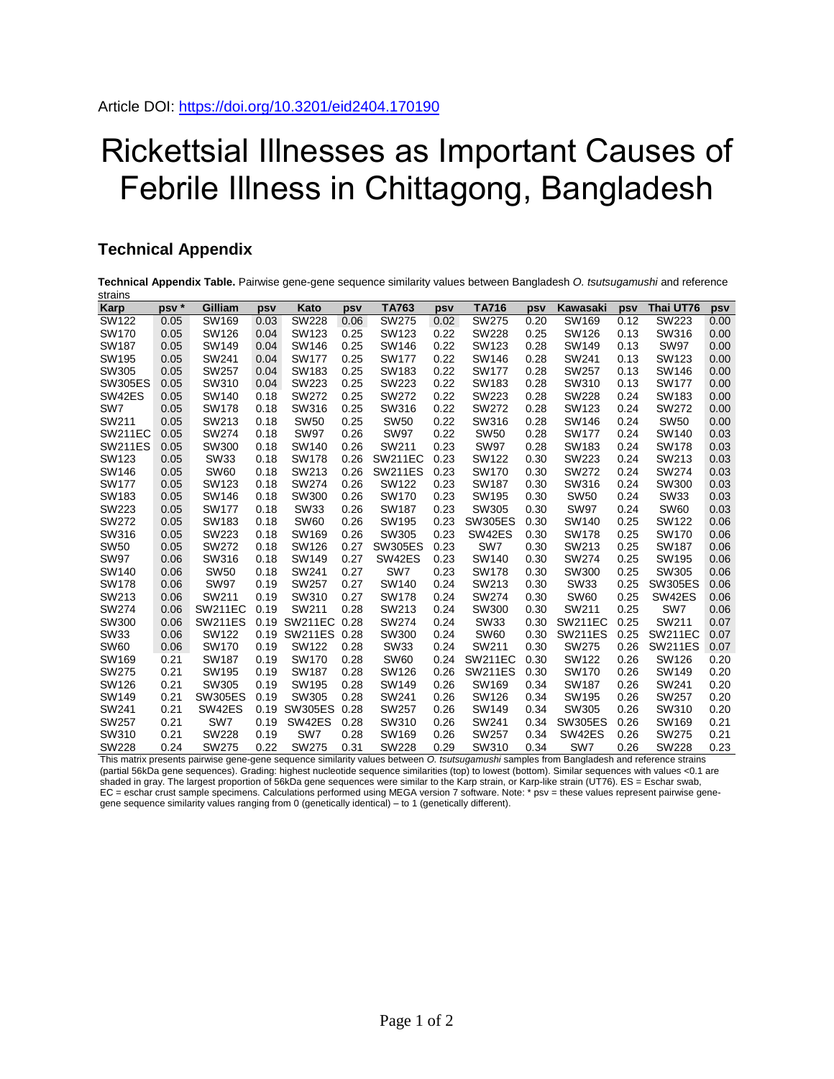## Rickettsial Illnesses as Important Causes of Febrile Illness in Chittagong, Bangladesh

## **Technical Appendix**

**Technical Appendix Table.** Pairwise gene-gene sequence similarity values between Bangladesh *O. tsutsugamushi* and reference strains

| <b>Karp</b>    | psv <sup>*</sup> | Gilliam        | psv  | Kato            | psv  | TA763          | psv  | <b>TA716</b>   | psv  | <b>Kawasaki</b> | psv  | Thai UT76      | psv  |
|----------------|------------------|----------------|------|-----------------|------|----------------|------|----------------|------|-----------------|------|----------------|------|
| SW122          | 0.05             | SW169          | 0.03 | <b>SW228</b>    | 0.06 | <b>SW275</b>   | 0.02 | <b>SW275</b>   | 0.20 | SW169           | 0.12 | SW223          | 0.00 |
| SW170          | 0.05             | SW126          | 0.04 | SW123           | 0.25 | SW123          | 0.22 | <b>SW228</b>   | 0.25 | SW126           | 0.13 | SW316          | 0.00 |
| <b>SW187</b>   | 0.05             | SW149          | 0.04 | SW146           | 0.25 | SW146          | 0.22 | SW123          | 0.28 | SW149           | 0.13 | <b>SW97</b>    | 0.00 |
| SW195          | 0.05             | SW241          | 0.04 | <b>SW177</b>    | 0.25 | <b>SW177</b>   | 0.22 | SW146          | 0.28 | SW241           | 0.13 | SW123          | 0.00 |
| SW305          | 0.05             | <b>SW257</b>   | 0.04 | SW183           | 0.25 | SW183          | 0.22 | <b>SW177</b>   | 0.28 | <b>SW257</b>    | 0.13 | SW146          | 0.00 |
| <b>SW305ES</b> | 0.05             | SW310          | 0.04 | <b>SW223</b>    | 0.25 | <b>SW223</b>   | 0.22 | SW183          | 0.28 | SW310           | 0.13 | <b>SW177</b>   | 0.00 |
| SW42ES         | 0.05             | SW140          | 0.18 | <b>SW272</b>    | 0.25 | <b>SW272</b>   | 0.22 | <b>SW223</b>   | 0.28 | <b>SW228</b>    | 0.24 | SW183          | 0.00 |
| SW7            | 0.05             | <b>SW178</b>   | 0.18 | SW316           | 0.25 | SW316          | 0.22 | <b>SW272</b>   | 0.28 | SW123           | 0.24 | <b>SW272</b>   | 0.00 |
| SW211          | 0.05             | SW213          | 0.18 | <b>SW50</b>     | 0.25 | <b>SW50</b>    | 0.22 | SW316          | 0.28 | SW146           | 0.24 | <b>SW50</b>    | 0.00 |
| <b>SW211EC</b> | 0.05             | SW274          | 0.18 | <b>SW97</b>     | 0.26 | <b>SW97</b>    | 0.22 | <b>SW50</b>    | 0.28 | <b>SW177</b>    | 0.24 | SW140          | 0.03 |
| <b>SW211ES</b> | 0.05             | SW300          | 0.18 | SW140           | 0.26 | SW211          | 0.23 | <b>SW97</b>    | 0.28 | SW183           | 0.24 | <b>SW178</b>   | 0.03 |
| SW123          | 0.05             | <b>SW33</b>    | 0.18 | <b>SW178</b>    | 0.26 | <b>SW211EC</b> | 0.23 | SW122          | 0.30 | SW223           | 0.24 | SW213          | 0.03 |
| SW146          | 0.05             | <b>SW60</b>    | 0.18 | SW213           | 0.26 | <b>SW211ES</b> | 0.23 | SW170          | 0.30 | SW272           | 0.24 | SW274          | 0.03 |
| <b>SW177</b>   | 0.05             | SW123          | 0.18 | <b>SW274</b>    | 0.26 | SW122          | 0.23 | SW187          | 0.30 | SW316           | 0.24 | SW300          | 0.03 |
| SW183          | 0.05             | SW146          | 0.18 | SW300           | 0.26 | SW170          | 0.23 | SW195          | 0.30 | <b>SW50</b>     | 0.24 | <b>SW33</b>    | 0.03 |
| <b>SW223</b>   | 0.05             | <b>SW177</b>   | 0.18 | <b>SW33</b>     | 0.26 | SW187          | 0.23 | SW305          | 0.30 | <b>SW97</b>     | 0.24 | <b>SW60</b>    | 0.03 |
| <b>SW272</b>   | 0.05             | SW183          | 0.18 | <b>SW60</b>     | 0.26 | SW195          | 0.23 | <b>SW305ES</b> | 0.30 | SW140           | 0.25 | SW122          | 0.06 |
| SW316          | 0.05             | <b>SW223</b>   | 0.18 | SW169           | 0.26 | SW305          | 0.23 | SW42ES         | 0.30 | <b>SW178</b>    | 0.25 | SW170          | 0.06 |
| <b>SW50</b>    | 0.05             | <b>SW272</b>   | 0.18 | SW126           | 0.27 | <b>SW305ES</b> | 0.23 | SW7            | 0.30 | SW213           | 0.25 | SW187          | 0.06 |
| <b>SW97</b>    | 0.06             | SW316          | 0.18 | SW149           | 0.27 | SW42ES         | 0.23 | SW140          | 0.30 | <b>SW274</b>    | 0.25 | SW195          | 0.06 |
| SW140          | 0.06             | <b>SW50</b>    | 0.18 | SW241           | 0.27 | SW7            | 0.23 | <b>SW178</b>   | 0.30 | SW300           | 0.25 | SW305          | 0.06 |
| <b>SW178</b>   | 0.06             | <b>SW97</b>    | 0.19 | SW257           | 0.27 | SW140          | 0.24 | SW213          | 0.30 | SW33            | 0.25 | <b>SW305ES</b> | 0.06 |
| SW213          | 0.06             | SW211          | 0.19 | SW310           | 0.27 | <b>SW178</b>   | 0.24 | <b>SW274</b>   | 0.30 | <b>SW60</b>     | 0.25 | SW42ES         | 0.06 |
| <b>SW274</b>   | 0.06             | <b>SW211EC</b> | 0.19 | SW211           | 0.28 | SW213          | 0.24 | SW300          | 0.30 | SW211           | 0.25 | SW7            | 0.06 |
| SW300          | 0.06             | <b>SW211ES</b> | 0.19 | SW211EC         | 0.28 | SW274          | 0.24 | SW33           | 0.30 | <b>SW211EC</b>  | 0.25 | SW211          | 0.07 |
| <b>SW33</b>    | 0.06             | SW122          | 0.19 | SW211ES 0.28    |      | SW300          | 0.24 | <b>SW60</b>    | 0.30 | <b>SW211ES</b>  | 0.25 | <b>SW211EC</b> | 0.07 |
| <b>SW60</b>    | 0.06             | SW170          | 0.19 | SW122           | 0.28 | <b>SW33</b>    | 0.24 | SW211          | 0.30 | <b>SW275</b>    | 0.26 | <b>SW211ES</b> | 0.07 |
| SW169          | 0.21             | SW187          | 0.19 | SW170           | 0.28 | <b>SW60</b>    | 0.24 | <b>SW211EC</b> | 0.30 | SW122           | 0.26 | SW126          | 0.20 |
| <b>SW275</b>   | 0.21             | SW195          | 0.19 | SW187           | 0.28 | SW126          | 0.26 | <b>SW211ES</b> | 0.30 | SW170           | 0.26 | SW149          | 0.20 |
| SW126          | 0.21             | SW305          | 0.19 | SW195           | 0.28 | SW149          | 0.26 | SW169          | 0.34 | SW187           | 0.26 | SW241          | 0.20 |
| SW149          | 0.21             | <b>SW305ES</b> | 0.19 | SW305           | 0.28 | SW241          | 0.26 | SW126          | 0.34 | SW195           | 0.26 | SW257          | 0.20 |
| SW241          | 0.21             | SW42ES         | 0.19 | <b>SW305ES</b>  | 0.28 | <b>SW257</b>   | 0.26 | SW149          | 0.34 | SW305           | 0.26 | SW310          | 0.20 |
| <b>SW257</b>   | 0.21             | SW7            | 0.19 | SW42ES          | 0.28 | SW310          | 0.26 | SW241          | 0.34 | SW305ES         | 0.26 | SW169          | 0.21 |
| SW310          | 0.21             | <b>SW228</b>   | 0.19 | SW <sub>7</sub> | 0.28 | SW169          | 0.26 | <b>SW257</b>   | 0.34 | SW42ES          | 0.26 | SW275          | 0.21 |
| <b>SW228</b>   | 0.24             | SW275          | 0.22 | <b>SW275</b>    | 0.31 | <b>SW228</b>   | 0.29 | SW310          | 0.34 | SW7             | 0.26 | <b>SW228</b>   | 0.23 |

This matrix presents pairwise gene-gene sequence similarity values between *O. tsutsugamushi* samples from Bangladesh and reference strains (partial 56kDa gene sequences). Grading: highest nucleotide sequence similarities (top) to lowest (bottom). Similar sequences with values <0.1 are shaded in gray. The largest proportion of 56kDa gene sequences were similar to the Karp strain, or Karp-like strain (UT76). ES = Eschar swab, EC = eschar crust sample specimens. Calculations performed using MEGA version 7 software. Note: \* psv = these values represent pairwise genegene sequence similarity values ranging from 0 (genetically identical) – to 1 (genetically different).